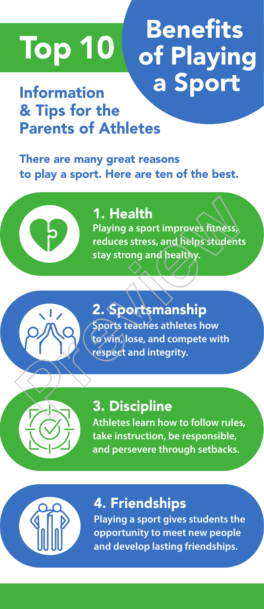# Top 10 Benefits of Playing a Sport

# Information & Tips for the Parents of Athletes

There are many great reasons to play a sport. Here are ten of the best.



### **Playing a sport improves fitness, reduces stress, and helps students stay strong and healthy.**  1. Health

# 2. Sportsmanship **Sports teaches athletes how to win, lose, and compete with respect and integrity.**  1. Health<br>
Playing a sport improves fitness<br>
reduces stress, and helps students<br>
stay strong and healthy.<br>
2. Sportsmanship<br>
Profits teaches athletes how<br>
to win, lose, and compete with<br>
espect and integrity.<br>
3. Disciplin



# 3. Discipline

**Athletes learn how to follow rules, take instruction, be responsible, and persevere through setbacks.**



# 4. Friendships

**Playing a sport gives students the opportunity to meet new people and develop lasting friendships.**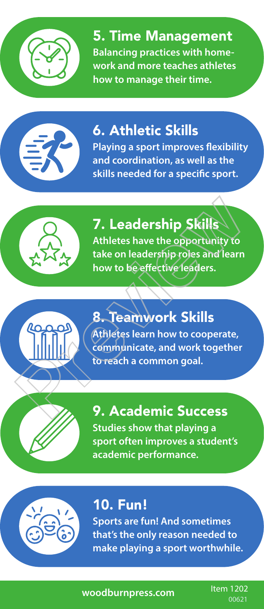

5. Time Management **Balancing practices with homework and more teaches athletes how to manage their time.**



# 6. Athletic Skills

**Playing a sport improves flexibility and coordination, as well as the skills needed for a specific sport.**



# 7. Leadership Skills

**Athletes have the opportunity to take on leadership roles and learn how to be effective leaders.** 



8. Teamwork Skills **Athletes learn how to cooperate, communicate, and work together to reach a common goal.** 7. Leadership Skills<br>
Athletes have the opportunity to<br>
take on leadership roles and learn<br>
how to be effective leaders.<br>
8. Teamwork Skills<br>
(Athletes learn how to cooperate,<br>
communicate, and work together<br>
to reach a co

9. Academic Success **Studies show that playing a sport often improves a student's academic performance.**



# 10. Fun!

**Sports are fun! And sometimes that's the only reason needed to make playing a sport worthwhile.** 

**woodburnpress.com**

Item 1202 00621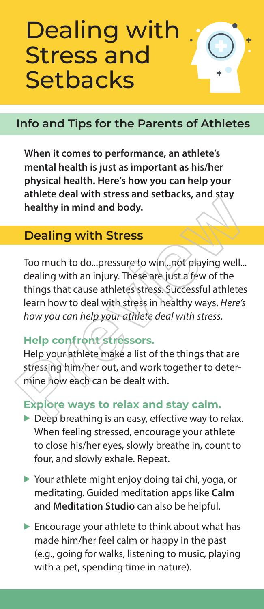# Dealing with Stress and **Setbacks**

### **Info and Tips for the Parents of Athletes**

**When it comes to performance, an athlete's mental health is just as important as his/her physical health. Here's how you can help your athlete deal with stress and setbacks, and stay healthy in mind and body.** 

#### **Dealing with Stress**

Too much to do...pressure to win...not playing well... dealing with an injury. These are just a few of the things that cause athletes stress. Successful athletes learn how to deal with stress in healthy ways. *Here's how you can help your athlete deal with stress.*  **Dealing with Stress**<br>Too much to do...pressure to win...not playing well...<br>dealing with an injury. These are just a few of the<br>things that cause athletes stress. Successful athletes<br>learn how to deal with stress in healt

#### **Help confront stressors.**

Help your athlete make a list of the things that are stressing him/her out, and work together to determine how each can be dealt with.

#### **Explore ways to relax and stay calm.**

- $\triangleright$  Deep breathing is an easy, effective way to relax. When feeling stressed, encourage your athlete to close his/her eyes, slowly breathe in, count to four, and slowly exhale. Repeat.
- $\triangleright$  Your athlete might enjoy doing tai chi, yoga, or meditating. Guided meditation apps like **Calm** and **Meditation Studio** can also be helpful.
- $\blacktriangleright$  Encourage your athlete to think about what has made him/her feel calm or happy in the past (e.g., going for walks, listening to music, playing with a pet, spending time in nature).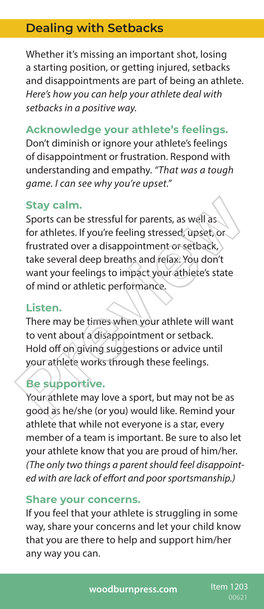### **Dealing with Setbacks**

Whether it's missing an important shot, losing a starting position, or getting injured, setbacks and disappointments are part of being an athlete. *Here's how you can help your athlete deal with setbacks in a positive way.*

#### **Acknowledge your athlete's feelings.**

Don't diminish or ignore your athlete's feelings of disappointment or frustration. Respond with understanding and empathy. *"That was a tough game. I can see why you're upset."* 

#### **Stay calm.**

Sports can be stressful for parents, as well as for athletes. If you're feeling stressed, upset, or frustrated over a disappointment or setback, take several deep breaths and relax. You don't want your feelings to impact your athlete's state of mind or athletic performance. Stay calm.<br>
Sports can be stressful for parents, as well as<br>
for athletes. If you're feeling stressed, upset or<br>
frustrated over a disappointment or setback,<br>
take several deep breaths and relax. You don't<br>
want your feeli

#### **Listen.**

There may be times when your athlete will want to vent about a disappointment or setback. Hold off on giving suggestions or advice until your athlete works through these feelings.

#### **Be supportive.**

Your athlete may love a sport, but may not be as good as he/she (or you) would like. Remind your athlete that while not everyone is a star, every member of a team is important. Be sure to also let your athlete know that you are proud of him/her. *(The only two things a parent should feel disappointed with are lack of effort and poor sportsmanship.)*

#### **Share your concerns.**

If you feel that your athlete is struggling in some way, share your concerns and let your child know that you are there to help and support him/her any way you can.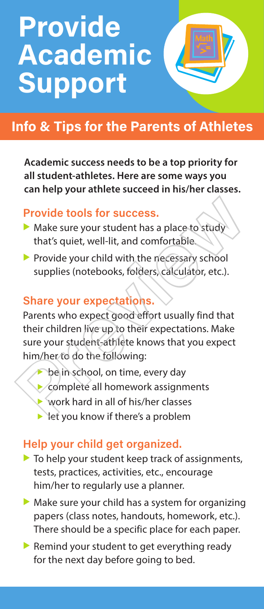# **Provide** Academic Support

# Info & Tips for the Parents of Athletes

**Academic success needs to be a top priority for all student-athletes. Here are some ways you can help your athlete succeed in his/her classes.**

#### Provide tools for success.

- $\blacktriangleright$  Make sure your student has a place to study that's quiet, well-lit, and comfortable.
- $\blacktriangleright$  Provide your child with the necessary school supplies (notebooks, folders, calculator, etc.).

#### Share your expectations.

Parents who expect good effort usually find that their children live up to their expectations. Make sure your student-athlete knows that you expect him/her to do the following: **Provide tools for success.**<br>
• Make sure your student has a place to study<br>
that's quiet, well-lit, and comfortable.<br>
• Provide your child with the necessary school<br>
supplies (notebooks, folders, calculator, etc.).<br> **Shar** 

- be in school, on time, every day
- complete all homework assignments
- work hard in all of his/her classes
- let you know if there's a problem

#### Help your child get organized.

- $\blacktriangleright$  To help your student keep track of assignments, tests, practices, activities, etc., encourage him/her to regularly use a planner.
- $\triangleright$  Make sure your child has a system for organizing papers (class notes, handouts, homework, etc.). There should be a specific place for each paper.
- Remind your student to get everything ready for the next day before going to bed.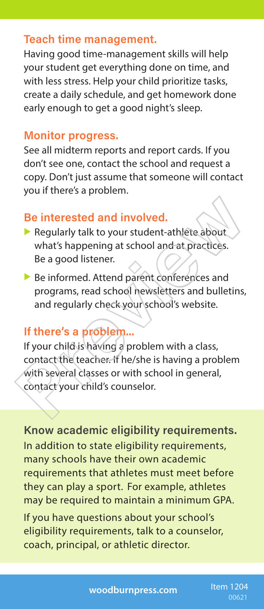#### Teach time management.

Having good time-management skills will help your student get everything done on time, and with less stress. Help your child prioritize tasks, create a daily schedule, and get homework done early enough to get a good night's sleep.

#### Monitor progress.

See all midterm reports and report cards. If you don't see one, contact the school and request a copy. Don't just assume that someone will contact you if there's a problem.

#### Be interested and involved.

- Regularly talk to your student-athlete about what's happening at school and at practices. Be a good listener.
- $\blacktriangleright$  Be informed. Attend parent conferences and programs, read school newsletters and bulletins, and regularly check your school's website.

#### If there's a problem...

If your child is having a problem with a class, contact the teacher. If he/she is having a problem with several classes or with school in general, contact your child's counselor. Be interested and involved.<br>
Regularly talk to your student-athlete about<br>
what's happening at school and at practices.<br>
Be a good listener.<br>
Be informed. Attend parent conferences and<br>
programs, read school newsletters an

Know academic eligibility requirements. In addition to state eligibility requirements, many schools have their own academic requirements that athletes must meet before they can play a sport. For example, athletes may be required to maintain a minimum GPA.

If you have questions about your school's eligibility requirements, talk to a counselor, coach, principal, or athletic director.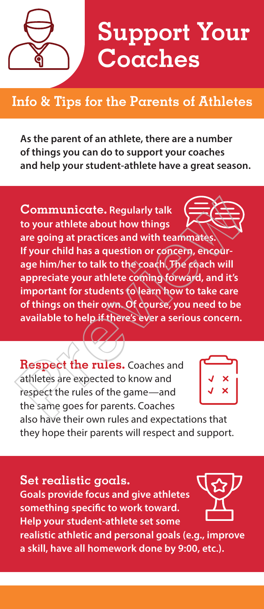

# **Info & Tips for the Parents of Athletes**

**As the parent of an athlete, there are a number of things you can do to support your coaches and help your student-athlete have a great season.**

**Communicate. Regularly talk to your athlete about how things are going at practices and with teammates. If your child has a question or concern, encourage him/her to talk to the coach. The coach will appreciate your athlete coming forward, and it's important for students to learn how to take care of things on their own. Of course, you need to be available to help if there's ever a serious concern.** Communicate. Regularly talk<br>to your athlete about how things<br>are going at practices and with teammates.<br>If your child has a question or concern, encour-<br>age him/her to talk to the coach (The coach will<br>appreciate your athl

**Respect the rules.** Coaches and athletes are expected to know and respect the rules of the game—and the same goes for parents. Coaches



also have their own rules and expectations that they hope their parents will respect and support.

**Set realistic goals. Goals provide focus and give athletes something specific to work toward. Help your student-athlete set some realistic athletic and personal goals (e.g., improve** 

**a skill, have all homework done by 9:00, etc.).**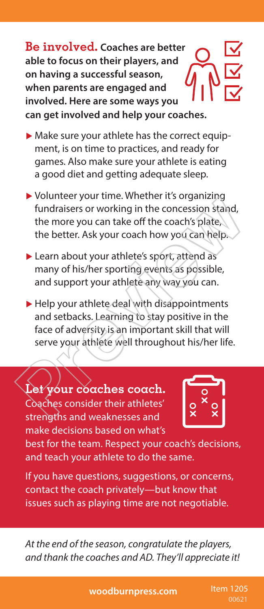**Be involved. Coaches are better able to focus on their players, and on having a successful season, when parents are engaged and involved. Here are some ways you can get involved and help your coaches.** 

- $\blacktriangleright$  Make sure your athlete has the correct equipment, is on time to practices, and ready for games. Also make sure your athlete is eating a good diet and getting adequate sleep.
- $\triangleright$  Volunteer your time. Whether it's organizing fundraisers or working in the concession stand, the more you can take off the coach's plate, the better. Ask your coach how you can help.
- $\blacktriangleright$  Learn about your athlete's sport, attend as many of his/her sporting events as possible, and support your athlete any way you can.
- $\blacktriangleright$  Help your athlete deal with disappointments and setbacks. Learning to stay positive in the face of adversity is an important skill that will serve your athlete well throughout his/her life. From the more your time. Whether it's organizing<br>tindraisers or working in the concession stand,<br>the more you can take off the coach's plate,<br>the better. Ask your coach how you can help.<br>Learn about your athlete's sport, a

**Let your coaches coach.** Coaches consider their athletes' strengths and weaknesses and make decisions based on what's



best for the team. Respect your coach's decisions, and teach your athlete to do the same.

If you have questions, suggestions, or concerns, contact the coach privately—but know that issues such as playing time are not negotiable.

*At the end of the season, congratulate the players, and thank the coaches and AD. They'll appreciate it!*

**woodburnpress.com** Item 1205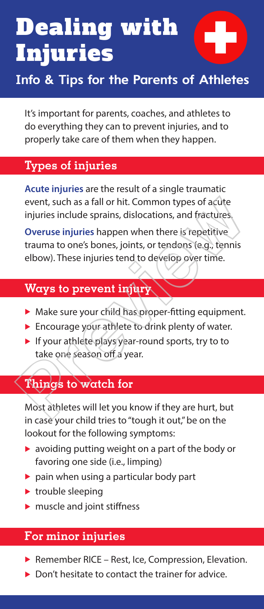# Dealing with Injuries



# **Info & Tips for the Parents of Athletes**

It's important for parents, coaches, and athletes to do everything they can to prevent injuries, and to properly take care of them when they happen.

#### **Types of injuries**

**Acute injuries** are the result of a single traumatic event, such as a fall or hit. Common types of acute injuries include sprains, dislocations, and fractures.

**Overuse injuries** happen when there is repetitive trauma to one's bones, joints, or tendons (e.g., tennis elbow). These injuries tend to develop over time. event, such as a fall or hit. Common types of acute<br>
injuries include sprains, dislocations, and fractures<br>
Overuse injuries happen when there is repetitive<br>
trauma to one's bones, joints, or tendons (e.g., tennis<br>
elbow).

### **Ways to prevent injury**

- $\blacktriangleright$  Make sure your child has proper-fitting equipment.
- $\blacktriangleright$  Encourage your athlete to drink plenty of water.
- $\blacktriangleright$  If your athlete plays year-round sports, try to to take one season off a year.

### **Things to watch for**

Most athletes will let you know if they are hurt, but in case your child tries to "tough it out," be on the lookout for the following symptoms:

- $\triangleright$  avoiding putting weight on a part of the body or favoring one side (i.e., limping)
- $\triangleright$  pain when using a particular body part
- $\blacktriangleright$  trouble sleeping
- $\blacktriangleright$  muscle and joint stiffness

### **For minor injuries**

- Remember RICE Rest, Ice, Compression, Elevation.
- Don't hesitate to contact the trainer for advice.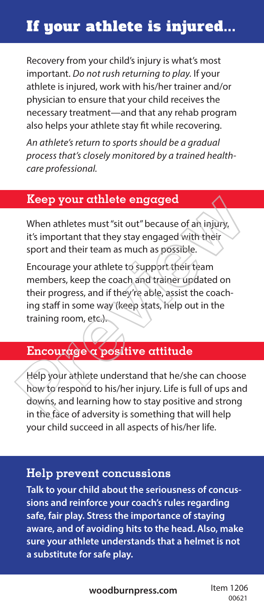# If your athlete is injured...

Recovery from your child's injury is what's most important. *Do not rush returning to play.* If your athlete is injured, work with his/her trainer and/or physician to ensure that your child receives the necessary treatment—and that any rehab program also helps your athlete stay fit while recovering.

*An athlete's return to sports should be a gradual process that's closely monitored by a trained healthcare professional.*

#### **Keep your athlete engaged**

When athletes must "sit out" because of an injury, it's important that they stay engaged with their sport and their team as much as possible.

Encourage your athlete to support their team members, keep the coach and trainer updated on their progress, and if they're able, assist the coaching staff in some way (keep stats, help out in the training room, etc.). **Keep your athlete engaged**<br>
When athletes must "sit out" because of an injury,<br>
it's important that they stay engaged with their<br>
sport and their team as much as possible.<br>
Encourage your athlete to support their team<br>
me

# **Encourage a positive attitude**

Help your athlete understand that he/she can choose how to respond to his/her injury. Life is full of ups and downs, and learning how to stay positive and strong in the face of adversity is something that will help your child succeed in all aspects of his/her life.

#### **Help prevent concussions**

**Talk to your child about the seriousness of concussions and reinforce your coach's rules regarding safe, fair play. Stress the importance of staying aware, and of avoiding hits to the head. Also, make sure your athlete understands that a helmet is not a substitute for safe play.**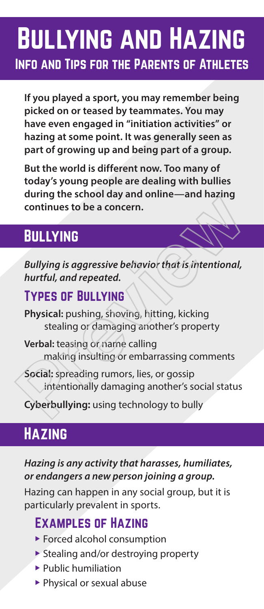# Bullying and Hazing Info and Tips for the Parents of Athletes

**If you played a sport, you may remember being picked on or teased by teammates. You may have even engaged in "initiation activities" or hazing at some point. It was generally seen as part of growing up and being part of a group.** 

**But the world is different now. Too many of today's young people are dealing with bullies during the school day and online—and hazing continues to be a concern.**

# **BULLYING**

*Bullying is aggressive behavior that is intentional, hurtful, and repeated.* Example 18 and 2014<br>
Continues to be a concern.<br>
BULLYING<br>
Bullying is aggressive behavior that is intentional,<br>
hurtful, and repeated.<br>
TYPES OF BULLYING<br>
Physical: pushing, shoving, hitting, kicking<br>
stealing or damaging

### Types of Bullying

**Physical:** pushing, shoving, hitting, kicking stealing or damaging another's property

- **Verbal:** teasing or name calling making insulting or embarrassing comments
- **Social:** spreading rumors, lies, or gossip intentionally damaging another's social status

**Cyberbullying:** using technology to bully

# **HAZING**

*Hazing is any activity that harasses, humiliates, or endangers a new person joining a group.*

Hazing can happen in any social group, but it is particularly prevalent in sports.

# Examples of Hazing

- $\blacktriangleright$  Forced alcohol consumption
- $\triangleright$  Stealing and/or destroying property
- $\blacktriangleright$  Public humiliation
- $\blacktriangleright$  Physical or sexual abuse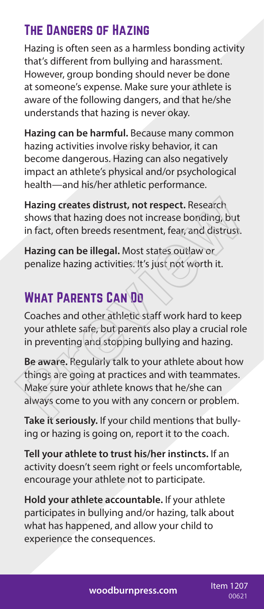# The Dangers of Hazing

Hazing is often seen as a harmless bonding activity that's different from bullying and harassment. However, group bonding should never be done at someone's expense. Make sure your athlete is aware of the following dangers, and that he/she understands that hazing is never okay.

**Hazing can be harmful.** Because many common hazing activities involve risky behavior, it can become dangerous. Hazing can also negatively impact an athlete's physical and/or psychological health—and his/her athletic performance.

**Hazing creates distrust, not respect.** Research shows that hazing does not increase bonding, but in fact, often breeds resentment, fear, and distrust.

**Hazing can be illegal.** Most states outlaw or penalize hazing activities. It's just not worth it.

# What Parents Can Do

Coaches and other athletic staff work hard to keep your athlete safe, but parents also play a crucial role in preventing and stopping bullying and hazing.

**Be aware.** Regularly talk to your athlete about how things are going at practices and with teammates. Make sure your athlete knows that he/she can always come to you with any concern or problem. Hazing creates distrust, not respect. Research<br>shows that hazing does not increase bonding, but<br>in fact, often breeds resentment, fear, and distrust.<br>Hazing can be illegal. Most states outlaw or<br>penalize hazing activities.

**Take it seriously.** If your child mentions that bullying or hazing is going on, report it to the coach.

**Tell your athlete to trust his/her instincts.** If an activity doesn't seem right or feels uncomfortable, encourage your athlete not to participate.

**Hold your athlete accountable.** If your athlete participates in bullying and/or hazing, talk about what has happened, and allow your child to experience the consequences.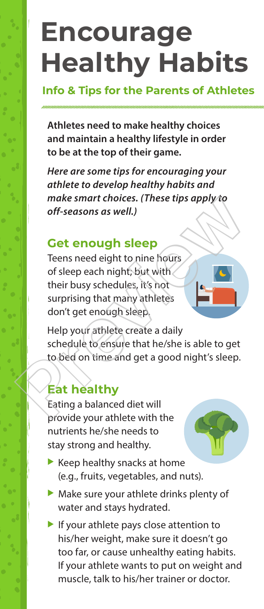# **Encourage Healthy Habits**

#### **Info & Tips for the Parents of Athletes**

**Athletes need to make healthy choices and maintain a healthy lifestyle in order to be at the top of their game.**

*Here are some tips for encouraging your athlete to develop healthy habits and make smart choices. (These tips apply to off-seasons as well.)*

### **Get enough sleep**

Teens need eight to nine hours of sleep each night; but with their busy schedules, it's not surprising that many athletes don't get enough sleep. make smart choices. (These tips apply to<br>
off-seasons as well.)<br>
Cet enough sleep<br>
Teens need eight to nine hours<br>
of sleep each night; but with<br>
their busy schedules, it's not<br>
surprising that many athletes<br>
don't get eno

Help your athlete create a daily schedule to ensure that he/she is able to get to bed on time and get a good night's sleep.

# **Eat healthy**

Eating a balanced diet will provide your athlete with the nutrients he/she needs to stay strong and healthy.

- 
- $\blacktriangleright$  Keep healthy snacks at home (e.g., fruits, vegetables, and nuts).
- $\blacktriangleright$  Make sure your athlete drinks plenty of water and stays hydrated.
- If your athlete pays close attention to his/her weight, make sure it doesn't go too far, or cause unhealthy eating habits. If your athlete wants to put on weight and muscle, talk to his/her trainer or doctor.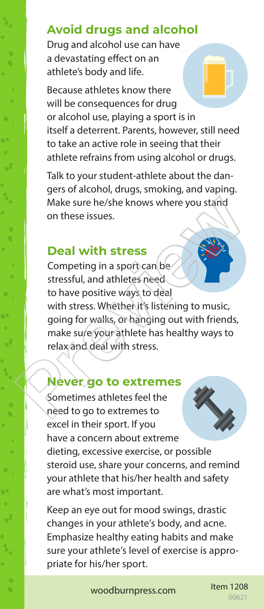### **Avoid drugs and alcohol**

Drug and alcohol use can have a devastating effect on an athlete's body and life.

Because athletes know there will be consequences for drug or alcohol use, playing a sport is in itself a deterrent. Parents, however, still need to take an active role in seeing that their athlete refrains from using alcohol or drugs.

Talk to your student-athlete about the dangers of alcohol, drugs, smoking, and vaping. Make sure he/she knows where you stand on these issues.

#### **Deal with stress**

Competing in a sport can be stressful, and athletes need to have positive ways to deal with stress. Whether it's listening to music, going for walks, or hanging out with friends, make sure your athlete has healthy ways to relax and deal with stress. Make sure he/she knows where you stand<br>on these issues.<br>Deal with stress<br>Competing in a sport can be<br>stressful, and athletes need<br>to have positive ways to deal<br>with stress. Whether it's listening to music,<br>going for walks,

#### **Never go to extremes**

Sometimes athletes feel the need to go to extremes to excel in their sport. If you have a concern about extreme dieting, excessive exercise, or possible steroid use, share your concerns, and remind your athlete that his/her health and safety are what's most important.

Keep an eye out for mood swings, drastic changes in your athlete's body, and acne. Emphasize healthy eating habits and make sure your athlete's level of exercise is appropriate for his/her sport.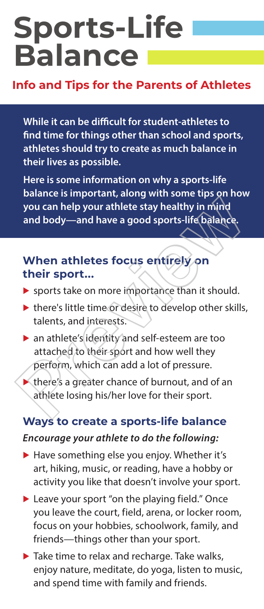# **Sports-Life Balance**

#### **Info and Tips for the Parents of Athletes**

**While it can be difficult for student-athletes to find time for things other than school and sports, athletes should try to create as much balance in their lives as possible.**

**Here is some information on why a sports-life balance is important, along with some tips on how you can help your athlete stay healthy in mind and body—and have a good sports-life balance.**

#### **When athletes focus entirely on their sport...**

- $\triangleright$  sports take on more importance than it should.
- $\blacktriangleright$  there's little time or desire to develop other skills, talents, and interests.
- $\triangleright$  an athlete's identity and self-esteem are too attached to their sport and how well they perform, which can add a lot of pressure. Solaring the important along the stay healthy in mind<br>and body—and have a good sports-life balance.<br>When athletes focus entirely on<br>their sport...<br>Sports take on more importance than it should.<br>Note: sports take on more im
	- $\blacktriangleright$  there's a greater chance of burnout, and of an athlete losing his/her love for their sport.

### **Ways to create a sports-life balance** *Encourage your athlete to do the following:*

- $\blacktriangleright$  Have something else you enjoy. Whether it's art, hiking, music, or reading, have a hobby or activity you like that doesn't involve your sport.
- $\blacktriangleright$  Leave your sport "on the playing field." Once you leave the court, field, arena, or locker room, focus on your hobbies, schoolwork, family, and friends—things other than your sport.
- $\blacktriangleright$  Take time to relax and recharge. Take walks, enjoy nature, meditate, do yoga, listen to music, and spend time with family and friends.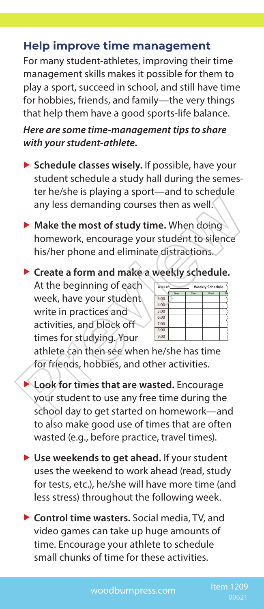#### **Help improve time management**

For many student-athletes, improving their time management skills makes it possible for them to play a sport, succeed in school, and still have time for hobbies, friends, and family—the very things that help them have a good sports-life balance.

*Here are some time-management tips to share with your student-athlete.*

- **Schedule classes wisely.** If possible, have your student schedule a study hall during the semester he/she is playing a sport—and to schedule any less demanding courses then as well.
- **Make the most of study time.** When doing homework, encourage your student to silence his/her phone and eliminate distractions.

▶ Create a form and make a weekly schedule.

At the beginning of each week, have your student write in practices and activities, and block off times for studying. Your

| Week of: | <b>Weekly Schedule</b> |      |     |    |
|----------|------------------------|------|-----|----|
|          | Mon                    | Tues | Wed | TÍ |
| 3:00     |                        |      |     |    |
| 4:00     |                        |      |     |    |
| 5:00     |                        |      |     |    |
| 6:00     |                        |      |     |    |
| 7:00     |                        |      |     |    |
| 8:00     |                        |      |     |    |
| 9:00     |                        |      |     |    |

athlete can then see when he/she has time for friends, hobbies, and other activities.

- **Look for times that are wasted.** Encourage your student to use any free time during the school day to get started on homework—and to also make good use of times that are often wasted (e.g., before practice, travel times). any less demanding courses then as well.<br> **Nake the most of study time.** When doing<br>
homework, encourage your student to silence<br>
his/her phone and eliminate distractions.<br> **Create a form and make a weekly schedule.**<br>
At t
	- ▶ Use weekends to get ahead. If your student uses the weekend to work ahead (read, study for tests, etc.), he/she will have more time (and less stress) throughout the following week.
	- ▶ Control time wasters. Social media, TV, and video games can take up huge amounts of time. Encourage your athlete to schedule small chunks of time for these activities.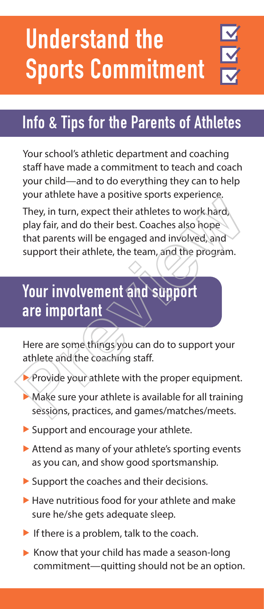# Understand the Sports Commitment

# Info & Tips for the Parents of Athletes

Your school's athletic department and coaching staff have made a commitment to teach and coach your child—and to do everything they can to help your athlete have a positive sports experience.

They, in turn, expect their athletes to work hard, play fair, and do their best. Coaches also hope that parents will be engaged and involved, and support their athlete, the team, and the program. They, in turn, expect their athletes to work hard<br>play fair, and do their best. Coaches also hope<br>that parents will be engaged and involved, and<br>support their athlete, the team, and the program.<br>**Your involvement and suppo** 

# Your involvement and support are important  $\leq$

Here are some things you can do to support your athlete and the coaching staff.

- **Provide your athlete with the proper equipment.**
- $\blacktriangleright$  Make sure your athlete is available for all training sessions, practices, and games/matches/meets.
- $\blacktriangleright$  Support and encourage your athlete.
- $\blacktriangleright$  Attend as many of your athlete's sporting events as you can, and show good sportsmanship.
- $\triangleright$  Support the coaches and their decisions.
- $\blacktriangleright$  Have nutritious food for your athlete and make sure he/she gets adequate sleep.
- If there is a problem, talk to the coach.
- $\triangleright$  Know that your child has made a season-long commitment—quitting should not be an option.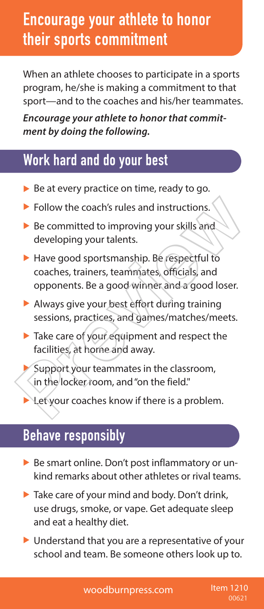# **Encourage your athlete to honor** their sports commitment

When an athlete chooses to participate in a sports program, he/she is making a commitment to that sport—and to the coaches and his/her teammates.

*Encourage your athlete to honor that commitment by doing the following.*

# Work hard and do your best

- $\triangleright$  Be at every practice on time, ready to go.
- $\blacktriangleright$  Follow the coach's rules and instructions.
- $\blacktriangleright$  Be committed to improving your skills and developing your talents.
- $\blacktriangleright$  Have good sportsmanship. Be respectful to coaches, trainers, teammates, officials, and opponents. Be a good winner and a good loser. • Follow the coach's rules and instructions.<br>
• Be committed to improving your skills and<br>
developing your talents.<br>
• Have good sportsmanship. Be respectful to<br>
coaches, trainers, teammates, officials, and<br>
opponents. Be
	- $\blacktriangleright$  Always give your best effort during training sessions, practices, and games/matches/meets.
	- $\blacktriangleright$  Take care of your equipment and respect the facilities, at home and away.
		- Support your teammates in the classroom, in the locker room, and "on the field."
	- Let your coaches know if there is a problem.

# Behave responsibly

- $\triangleright$  Be smart online. Don't post inflammatory or unkind remarks about other athletes or rival teams.
- $\blacktriangleright$  Take care of your mind and body. Don't drink, use drugs, smoke, or vape. Get adequate sleep and eat a healthy diet.
- $\triangleright$  Understand that you are a representative of your school and team. Be someone others look up to.

woodburnpress.com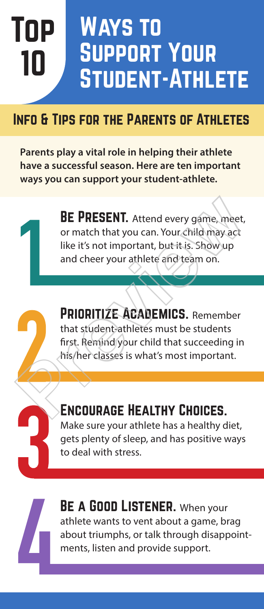# Top 10 Ways to Support Your Student-Athlete

# INFO & TIPS FOR THE PARENTS OF ATHLETES

**Parents play a vital role in helping their athlete have a successful season. Here are ten important ways you can support your student-athlete.** 

> BE PRESENT. Attend every game, meet, or match that you can. Your child may act like it's not important, but it is. Show up and cheer your athlete and team on.

PRIORITIZE ACADEMICS. Remember that student-athletes must be students first. Remind your child that succeeding in his/her classes is what's most important. **BE PRESENT.** Attend every game, meet, or match that you can. Your child may act like it's not important, but it is. Show up and cheer your athlete and team on.<br> **PRIORITIZE ACADEMICS.** Remember that student athletes must

# Encourage Healthy Choices.

Make sure your athlete has a healthy diet, gets plenty of sleep, and has positive ways to deal with stress.



BE A GOOD LISTENER. When your athlete wants to vent about a game, brag about triumphs, or talk through disappointments, listen and provide support.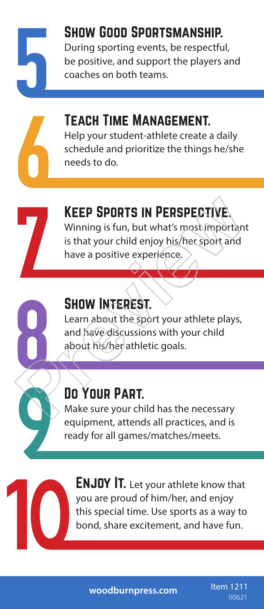Show Good Sportsmanship. During sporting events, be respectful, be positive, and support the players and coaches on both teams.

# Teach Time Management.

Help your student-athlete create a daily schedule and prioritize the things he/she needs to do.



Keep Sports in Perspective. Winning is fun, but what's most important

is that your child enjoy his/her sport and have a positive experience.



# SHOW INTEREST.

Learn about the sport your athlete plays, and have discussions with your child about his/her athletic goals. KEEP SPORTS IN PERSPECTIVE.<br>
Winning is fun, but what's most important<br>
is that your child enjoy his/her sport and<br>
have a positive experience.<br>
SHOW INTEREST.<br>
Learn about the sport your athlete plays,<br>
and have discussio

# Do Your Part.

Make sure your child has the necessary equipment, attends all practices, and is ready for all games/matches/meets.



**ENJOY IT.** Let your athlete know that you are proud of him/her, and enjoy this special time. Use sports as a way to bond, share excitement, and have fun.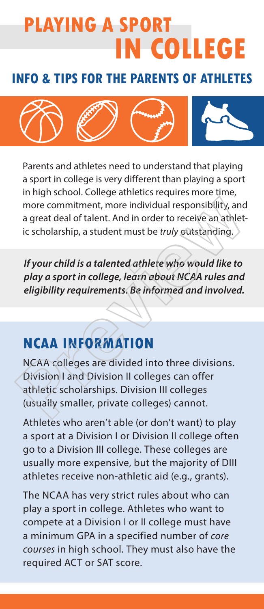# **PLAYING A SPORT IN COLLEGE**

### **INFO & TIPS FOR THE PARENTS OF ATHLETES**



Parents and athletes need to understand that playing a sport in college is very different than playing a sport in high school. College athletics requires more time, more commitment, more individual responsibility, and a great deal of talent. And in order to receive an athletic scholarship, a student must be *truly* outstanding.

*If your child is a talented athlete who would like to play a sport in college, learn about NCAA rules and eligibility requirements. Be informed and involved.*

# **NCAA INFORMATION**

NCAA colleges are divided into three divisions. Division I and Division II colleges can offer athletic scholarships. Division III colleges (usually smaller, private colleges) cannot. more commitment, more individual responsibility, and<br>a great deal of talent. And in order to receive an athlet-<br>ic scholarship, a student must be *truly* outstanding.<br>If your child is a talented athlete who would like to<br>p

Athletes who aren't able (or don't want) to play a sport at a Division I or Division II college often go to a Division III college. These colleges are usually more expensive, but the majority of DIII athletes receive non-athletic aid (e.g., grants).

The NCAA has very strict rules about who can play a sport in college. Athletes who want to compete at a Division I or II college must have a minimum GPA in a specified number of *core courses* in high school. They must also have the required ACT or SAT score.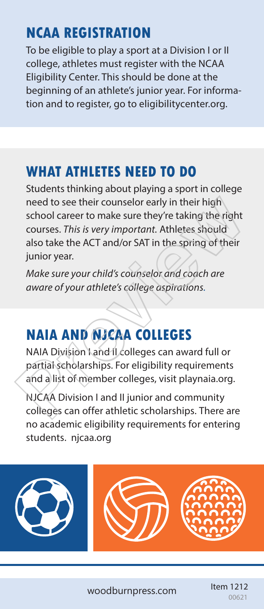# **NCAA REGISTRATION**

To be eligible to play a sport at a Division I or II college, athletes must register with the NCAA Eligibility Center. This should be done at the beginning of an athlete's junior year. For information and to register, go to eligibilitycenter.org.

# **WHAT ATHLETES NEED TO DO**

Students thinking about playing a sport in college need to see their counselor early in their high school career to make sure they're taking the right courses. *This is very important.* Athletes should also take the ACT and/or SAT in the spring of their junior year. need to see their counselor early in their high<br>school career to make sure they're taking the right<br>courses. *This is very important*. Athletes should<br>also take the ACT and/or SAT in the spring of their<br>junior year.<br>Make s

*Make sure your child's counselor and coach are aware of your athlete's college aspirations.*

# **NAIA AND NJCAA COLLEGES**

NAIA Division I and II colleges can award full or partial scholarships. For eligibility requirements and a list of member colleges, visit playnaia.org.

NJCAA Division I and II junior and community colleges can offer athletic scholarships. There are no academic eligibility requirements for entering students. njcaa.org

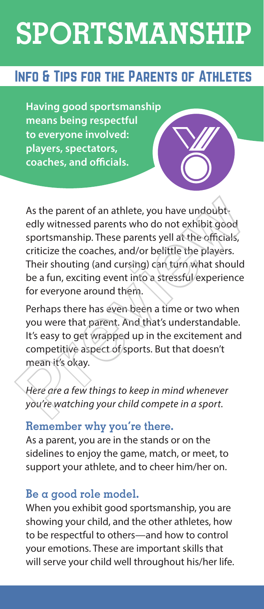# **SPORTSMANSHIP**

# Info & Tips for the Parents of Athletes

**Having good sportsmanship means being respectful to everyone involved: players, spectators, coaches, and officials.** 

As the parent of an athlete, you have undoubtedly witnessed parents who do not exhibit good sportsmanship. These parents yell at the officials, criticize the coaches, and/or belittle the players. Their shouting (and cursing) can turn what should be a fun, exciting event into a stressful experience for everyone around them. As the parent of an athlete, you have undoubtedly witnessed parents who do not exhibit good sportsmanship. These parents yell at the officials, criticize the coaches, and/or belittle the players. Their shouting (and cursin

Perhaps there has even been a time or two when you were that parent. And that's understandable. It's easy to get wrapped up in the excitement and competitive aspect of sports. But that doesn't mean it's okay.

*Here are a few things to keep in mind whenever you're watching your child compete in a sport.*

#### **Remember why you're there.**

As a parent, you are in the stands or on the sidelines to enjoy the game, match, or meet, to support your athlete, and to cheer him/her on.

#### **Be a good role model.**

When you exhibit good sportsmanship, you are showing your child, and the other athletes, how to be respectful to others—and how to control your emotions. These are important skills that will serve your child well throughout his/her life.